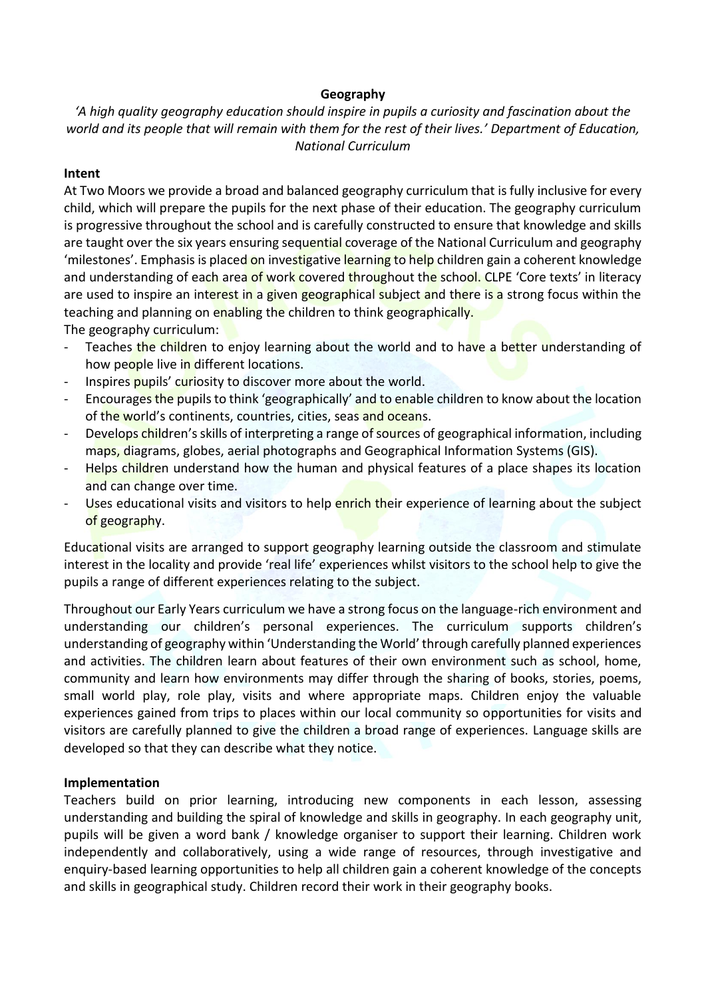### **Geography**

# *'A high quality geography education should inspire in pupils a curiosity and fascination about the world and its people that will remain with them for the rest of their lives.' Department of Education, National Curriculum*

#### **Intent**

At Two Moors we provide a broad and balanced geography curriculum that is fully inclusive for every child, which will prepare the pupils for the next phase of their education. The geography curriculum is progressive throughout the school and is carefully constructed to ensure that knowledge and skills are taught over the six years ensuring sequential coverage of the National Curriculum and geography 'milestones'. Emphasis is placed on investigative learning to help children gain a coherent knowledge and understanding of each area of work covered throughout the school. CLPE 'Core texts' in literacy are used to inspire an interest in a given geographical subject and there is a strong focus within the teaching and planning on enabling the children to think geographically.

The geography curriculum:

- Teaches the children to enjoy learning about the world and to have a better understanding of how people live in different locations.
- Inspires pupils' curiosity to discover more about the world.
- Encourages the pupils to think 'geographically' and to enable children to know about the location of the world's continents, countries, cities, seas and oceans.
- Develops children's skills of interpreting a range of sources of geographical information, including maps, diagrams, globes, aerial photographs and Geographical Information Systems (GIS).
- Helps children understand how the human and physical features of a place shapes its location and can change over time.
- Uses educational visits and visitors to help enrich their experience of learning about the subject of geography.

Educational visits are arranged to support geography learning outside the classroom and stimulate interest in the locality and provide 'real life' experiences whilst visitors to the school help to give the pupils a range of different experiences relating to the subject.

Throughout our Early Years curriculum we have a strong focus on the language-rich environment and understanding our children's personal experiences. The curriculum supports children's understanding of geography within 'Understanding the World' through carefully planned experiences and activities. The children learn about features of their own environment such as school, home, community and learn how environments may differ through the sharing of books, stories, poems, small world play, role play, visits and where appropriate maps. Children enjoy the valuable experiences gained from trips to places within our local community so opportunities for visits and visitors are carefully planned to give the children a broad range of experiences. Language skills are developed so that they can describe what they notice.

## **Implementation**

Teachers build on prior learning, introducing new components in each lesson, assessing understanding and building the spiral of knowledge and skills in geography. In each geography unit, pupils will be given a word bank / knowledge organiser to support their learning. Children work independently and collaboratively, using a wide range of resources, through investigative and enquiry-based learning opportunities to help all children gain a coherent knowledge of the concepts and skills in geographical study. Children record their work in their geography books.